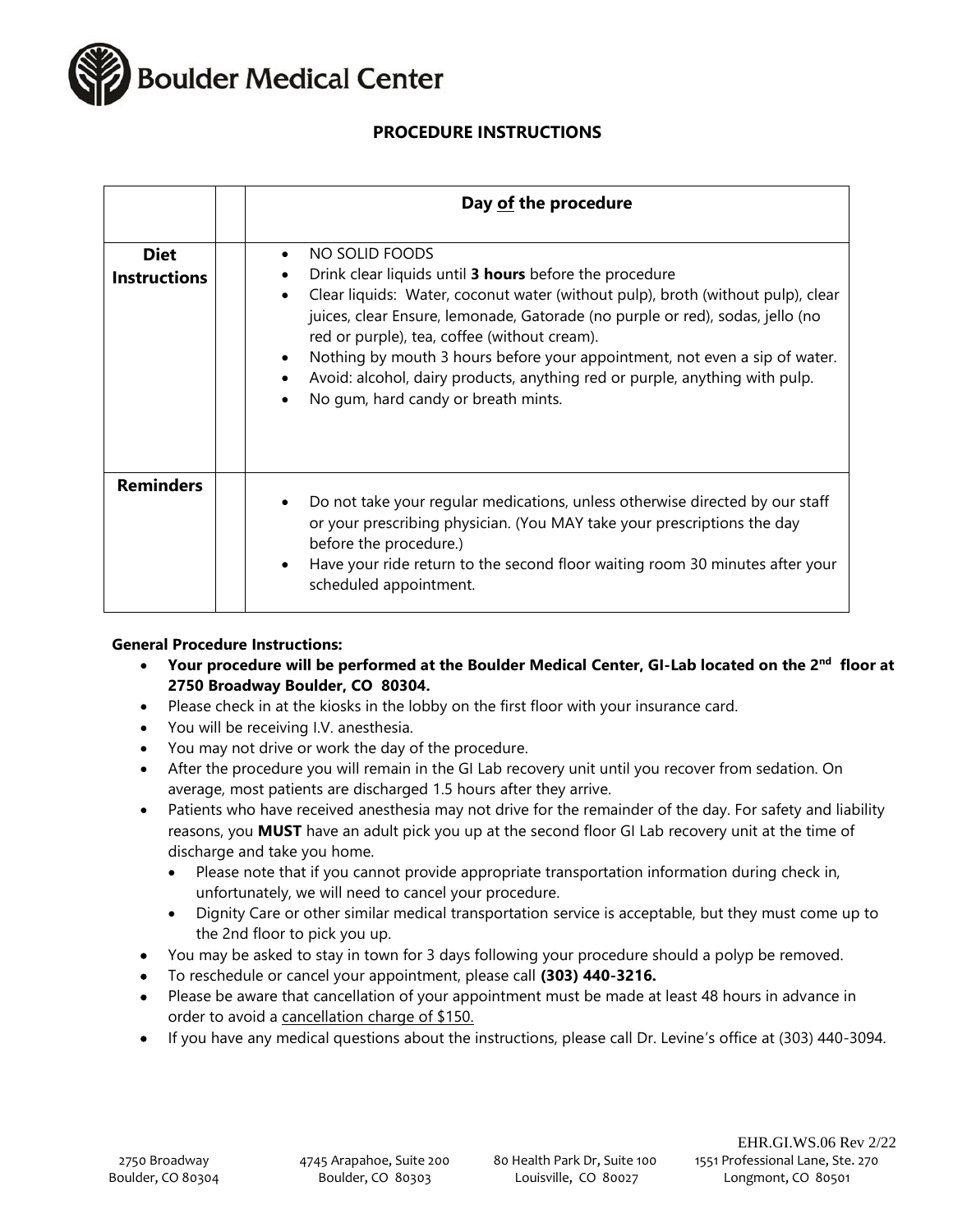

# **PROCEDURE INSTRUCTIONS**

|                                    | Day of the procedure                                                                                                                                                                                                                                                                                                                                                                                                                                                                             |
|------------------------------------|--------------------------------------------------------------------------------------------------------------------------------------------------------------------------------------------------------------------------------------------------------------------------------------------------------------------------------------------------------------------------------------------------------------------------------------------------------------------------------------------------|
| <b>Diet</b><br><b>Instructions</b> | NO SOLID FOODS<br>Drink clear liquids until 3 hours before the procedure<br>Clear liquids: Water, coconut water (without pulp), broth (without pulp), clear<br>juices, clear Ensure, lemonade, Gatorade (no purple or red), sodas, jello (no<br>red or purple), tea, coffee (without cream).<br>Nothing by mouth 3 hours before your appointment, not even a sip of water.<br>Avoid: alcohol, dairy products, anything red or purple, anything with pulp.<br>No gum, hard candy or breath mints. |
| <b>Reminders</b>                   | Do not take your regular medications, unless otherwise directed by our staff<br>or your prescribing physician. (You MAY take your prescriptions the day<br>before the procedure.)<br>Have your ride return to the second floor waiting room 30 minutes after your<br>scheduled appointment.                                                                                                                                                                                                      |

### **General Procedure Instructions:**

- **Your procedure will be performed at the Boulder Medical Center, GI-Lab located on the 2nd floor at 2750 Broadway Boulder, CO 80304.**
- Please check in at the kiosks in the lobby on the first floor with your insurance card.
- You will be receiving I.V. anesthesia.
- You may not drive or work the day of the procedure.
- After the procedure you will remain in the GI Lab recovery unit until you recover from sedation. On average, most patients are discharged 1.5 hours after they arrive.
- Patients who have received anesthesia may not drive for the remainder of the day. For safety and liability reasons, you **MUST** have an adult pick you up at the second floor GI Lab recovery unit at the time of discharge and take you home.
	- Please note that if you cannot provide appropriate transportation information during check in, unfortunately, we will need to cancel your procedure.
	- Dignity Care or other similar medical transportation service is acceptable, but they must come up to the 2nd floor to pick you up.
- You may be asked to stay in town for 3 days following your procedure should a polyp be removed.
- To reschedule or cancel your appointment, please call **(303) 440-3216.**
- Please be aware that cancellation of your appointment must be made at least 48 hours in advance in order to avoid a cancellation charge of \$150.
- If you have any medical questions about the instructions, please call Dr. Levine's office at (303) 440-3094.